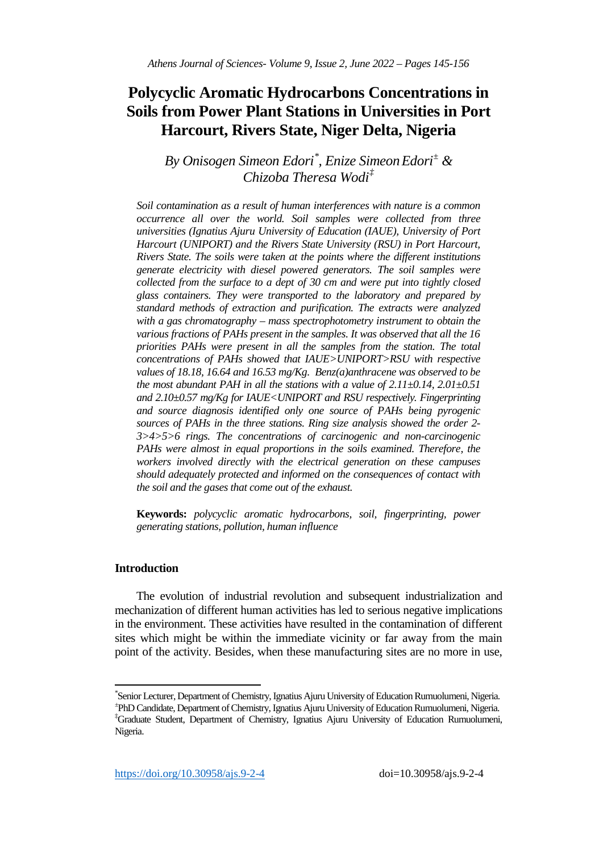# **Polycyclic Aromatic Hydrocarbons Concentrations in Soils from Power Plant Stations in Universities in Port Harcourt, Rivers State, Niger Delta, Nigeria**

# *By Onisogen Simeon Edori[\\*](#page-0-0) , Enize SimeonEdori[±](#page-0-1) & Chizoba Theresa Wodi[‡](#page-0-2)*

*Soil contamination as a result of human interferences with nature is a common occurrence all over the world. Soil samples were collected from three universities (Ignatius Ajuru University of Education (IAUE), University of Port Harcourt (UNIPORT) and the Rivers State University (RSU) in Port Harcourt, Rivers State. The soils were taken at the points where the different institutions generate electricity with diesel powered generators. The soil samples were collected from the surface to a dept of 30 cm and were put into tightly closed glass containers. They were transported to the laboratory and prepared by standard methods of extraction and purification. The extracts were analyzed with a gas chromatography – mass spectrophotometry instrument to obtain the various fractions of PAHs present in the samples. It was observed that all the 16 priorities PAHs were present in all the samples from the station. The total concentrations of PAHs showed that IAUE>UNIPORT>RSU with respective values of 18.18, 16.64 and 16.53 mg/Kg. Benz(a)anthracene was observed to be the most abundant PAH in all the stations with a value of 2.11±0.14, 2.01±0.51 and 2.10±0.57 mg/Kg for IAUE<UNIPORT and RSU respectively. Fingerprinting and source diagnosis identified only one source of PAHs being pyrogenic sources of PAHs in the three stations. Ring size analysis showed the order 2- 3>4>5>6 rings. The concentrations of carcinogenic and non-carcinogenic PAHs were almost in equal proportions in the soils examined. Therefore, the workers involved directly with the electrical generation on these campuses should adequately protected and informed on the consequences of contact with the soil and the gases that come out of the exhaust.* 

**Keywords:** *polycyclic aromatic hydrocarbons, soil, fingerprinting, power generating stations, pollution, human influence*

# **Introduction**

The evolution of industrial revolution and subsequent industrialization and mechanization of different human activities has led to serious negative implications in the environment. These activities have resulted in the contamination of different sites which might be within the immediate vicinity or far away from the main point of the activity. Besides, when these manufacturing sites are no more in use,

<span id="page-0-2"></span><span id="page-0-1"></span><span id="page-0-0"></span>\* Senior Lecturer, Department of Chemistry, Ignatius Ajuru University of Education Rumuolumeni, Nigeria. <sup>±</sup> PhD Candidate, Department of Chemistry, Ignatius Ajuru University of Education Rumuolumeni, Nigeria. ‡ Graduate Student, Department of Chemistry, Ignatius Ajuru University of Education Rumuolumeni, Nigeria.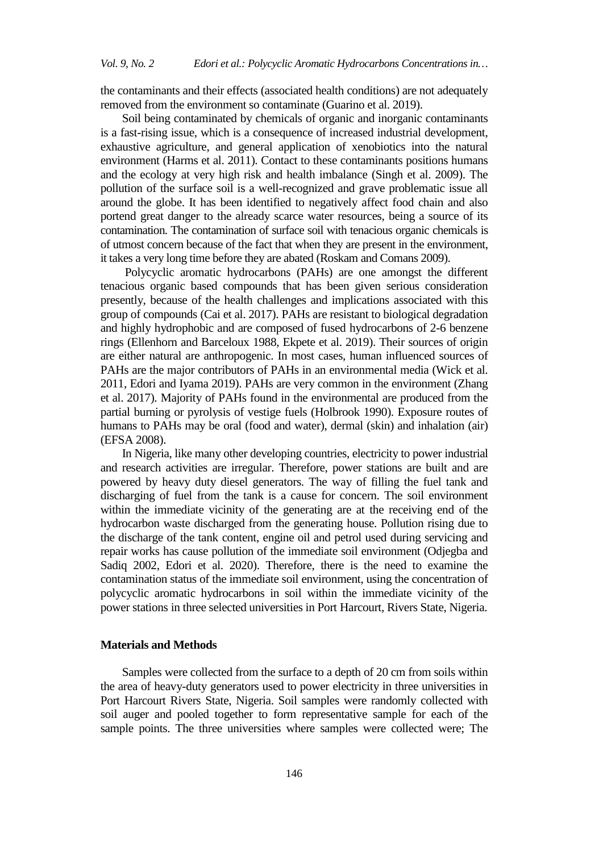the contaminants and their effects (associated health conditions) are not adequately removed from the environment so contaminate (Guarino et al. 2019).

Soil being contaminated by chemicals of organic and inorganic contaminants is a fast-rising issue, which is a consequence of increased industrial development, exhaustive agriculture, and general application of xenobiotics into the natural environment (Harms et al. 2011). Contact to these contaminants positions humans and the ecology at very high risk and health imbalance (Singh et al. 2009). The pollution of the surface soil is a well-recognized and grave problematic issue all around the globe. It has been identified to negatively affect food chain and also portend great danger to the already scarce water resources, being a source of its contamination. The contamination of surface soil with tenacious organic chemicals is of utmost concern because of the fact that when they are present in the environment, it takes a very long time before they are abated (Roskam and Comans 2009).

Polycyclic aromatic hydrocarbons (PAHs) are one amongst the different tenacious organic based compounds that has been given serious consideration presently, because of the health challenges and implications associated with this group of compounds (Cai et al. 2017). PAHs are resistant to biological degradation and highly hydrophobic and are composed of fused hydrocarbons of 2-6 benzene rings (Ellenhorn and Barceloux 1988, Ekpete et al. 2019). Their sources of origin are either natural are anthropogenic. In most cases, human influenced sources of PAHs are the major contributors of PAHs in an environmental media (Wick et al. 2011, Edori and Iyama 2019). PAHs are very common in the environment (Zhang et al. 2017). Majority of PAHs found in the environmental are produced from the partial burning or pyrolysis of vestige fuels (Holbrook 1990). Exposure routes of humans to PAHs may be oral (food and water), dermal (skin) and inhalation (air) (EFSA 2008).

In Nigeria, like many other developing countries, electricity to power industrial and research activities are irregular. Therefore, power stations are built and are powered by heavy duty diesel generators. The way of filling the fuel tank and discharging of fuel from the tank is a cause for concern. The soil environment within the immediate vicinity of the generating are at the receiving end of the hydrocarbon waste discharged from the generating house. Pollution rising due to the discharge of the tank content, engine oil and petrol used during servicing and repair works has cause pollution of the immediate soil environment (Odjegba and Sadiq 2002, Edori et al. 2020). Therefore, there is the need to examine the contamination status of the immediate soil environment, using the concentration of polycyclic aromatic hydrocarbons in soil within the immediate vicinity of the power stations in three selected universities in Port Harcourt, Rivers State, Nigeria.

#### **Materials and Methods**

Samples were collected from the surface to a depth of 20 cm from soils within the area of heavy-duty generators used to power electricity in three universities in Port Harcourt Rivers State, Nigeria. Soil samples were randomly collected with soil auger and pooled together to form representative sample for each of the sample points. The three universities where samples were collected were; The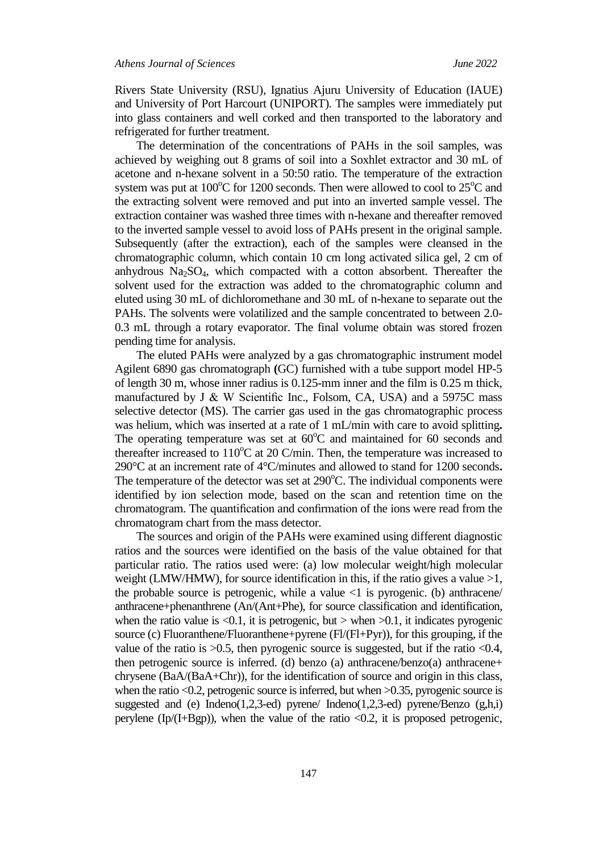Rivers State University (RSU), Ignatius Ajuru University of Education (IAUE) and University of Port Harcourt (UNIPORT). The samples were immediately put into glass containers and well corked and then transported to the laboratory and refrigerated for further treatment.

The determination of the concentrations of PAHs in the soil samples, was achieved by weighing out 8 grams of soil into a Soxhlet extractor and 30 mL of acetone and n-hexane solvent in a 50:50 ratio. The temperature of the extraction system was put at  $100^{\circ}$ C for 1200 seconds. Then were allowed to cool to  $25^{\circ}$ C and the extracting solvent were removed and put into an inverted sample vessel. The extraction container was washed three times with n-hexane and thereafter removed to the inverted sample vessel to avoid loss of PAHs present in the original sample. Subsequently (after the extraction), each of the samples were cleansed in the chromatographic column, which contain 10 cm long activated silica gel, 2 cm of anhydrous  $Na<sub>2</sub>SO<sub>4</sub>$ , which compacted with a cotton absorbent. Thereafter the solvent used for the extraction was added to the chromatographic column and eluted using 30 mL of dichloromethane and 30 mL of n-hexane to separate out the PAHs. The solvents were volatilized and the sample concentrated to between 2.0- 0.3 mL through a rotary evaporator. The final volume obtain was stored frozen pending time for analysis.

The eluted PAHs were analyzed by a gas chromatographic instrument model Agilent 6890 gas chromatograph **(**GC) furnished with a tube support model HP-5 of length 30 m, whose inner radius is 0.125-mm inner and the film is 0.25 m thick, manufactured by J & W Scientific Inc., Folsom, CA, USA) and a 5975C mass selective detector (MS). The carrier gas used in the gas chromatographic process was helium, which was inserted at a rate of 1 mL/min with care to avoid splitting**.**  The operating temperature was set at  $60^{\circ}$ C and maintained for 60 seconds and thereafter increased to  $110^{\circ}$ C at 20 C/min. Then, the temperature was increased to 290°C at an increment rate of 4°C/minutes and allowed to stand for 1200 seconds**.** The temperature of the detector was set at  $290^{\circ}$ C. The individual components were identified by ion selection mode, based on the scan and retention time on the chromatogram. The quantification and confirmation of the ions were read from the chromatogram chart from the mass detector.

The sources and origin of the PAHs were examined using different diagnostic ratios and the sources were identified on the basis of the value obtained for that particular ratio. The ratios used were: (a) low molecular weight/high molecular weight (LMW/HMW), for source identification in this, if the ratio gives a value  $>1$ , the probable source is petrogenic, while a value  $\langle 1 \rangle$  is pyrogenic. (b) anthracene/ anthracene+phenanthrene (An/(Ant+Phe), for source classification and identification, when the ratio value is  $\langle 0.1$ , it is petrogenic, but  $>$  when  $>0.1$ , it indicates pyrogenic source (c) Fluoranthene/Fluoranthene+pyrene (Fl/(Fl+Pyr)), for this grouping, if the value of the ratio is  $>0.5$ , then pyrogenic source is suggested, but if the ratio  $< 0.4$ , then petrogenic source is inferred. (d) benzo (a) anthracene/benzo(a) anthracene+ chrysene (BaA/(BaA+Chr)), for the identification of source and origin in this class, when the ratio  $<0.2$ , petrogenic source is inferred, but when  $>0.35$ , pyrogenic source is suggested and (e) Indeno(1,2,3-ed) pyrene/ Indeno(1,2,3-ed) pyrene/Benzo  $(g,h,i)$ perylene (Ip/(I+Bgp)), when the value of the ratio  $\langle 0.2$ , it is proposed petrogenic,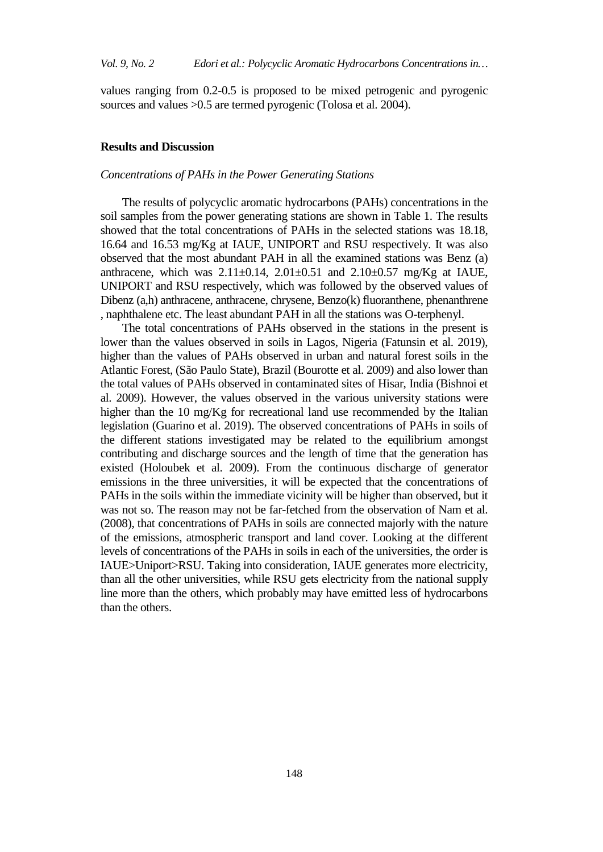values ranging from 0.2-0.5 is proposed to be mixed petrogenic and pyrogenic sources and values > 0.5 are termed pyrogenic (Tolosa et al. 2004).

#### **Results and Discussion**

### *Concentrations of PAHs in the Power Generating Stations*

The results of polycyclic aromatic hydrocarbons (PAHs) concentrations in the soil samples from the power generating stations are shown in Table 1. The results showed that the total concentrations of PAHs in the selected stations was 18.18, 16.64 and 16.53 mg/Kg at IAUE, UNIPORT and RSU respectively. It was also observed that the most abundant PAH in all the examined stations was Benz (a) anthracene, which was  $2.11 \pm 0.14$ ,  $2.01 \pm 0.51$  and  $2.10 \pm 0.57$  mg/Kg at IAUE, UNIPORT and RSU respectively, which was followed by the observed values of Dibenz (a,h) anthracene, anthracene, chrysene, Benzo(k) fluoranthene, phenanthrene , naphthalene etc. The least abundant PAH in all the stations was O-terphenyl.

The total concentrations of PAHs observed in the stations in the present is lower than the values observed in soils in Lagos, Nigeria (Fatunsin et al. 2019), higher than the values of PAHs observed in urban and natural forest soils in the Atlantic Forest, (São Paulo State), Brazil (Bourotte et al. 2009) and also lower than the total values of PAHs observed in contaminated sites of Hisar, India (Bishnoi et al. 2009). However, the values observed in the various university stations were higher than the 10 mg/Kg for recreational land use recommended by the Italian legislation (Guarino et al. 2019). The observed concentrations of PAHs in soils of the different stations investigated may be related to the equilibrium amongst contributing and discharge sources and the length of time that the generation has existed (Holoubek et al. 2009). From the continuous discharge of generator emissions in the three universities, it will be expected that the concentrations of PAHs in the soils within the immediate vicinity will be higher than observed, but it was not so. The reason may not be far-fetched from the observation of Nam et al. (2008), that concentrations of PAHs in soils are connected majorly with the nature of the emissions, atmospheric transport and land cover. Looking at the different levels of concentrations of the PAHs in soils in each of the universities, the order is IAUE>Uniport>RSU. Taking into consideration, IAUE generates more electricity, than all the other universities, while RSU gets electricity from the national supply line more than the others, which probably may have emitted less of hydrocarbons than the others.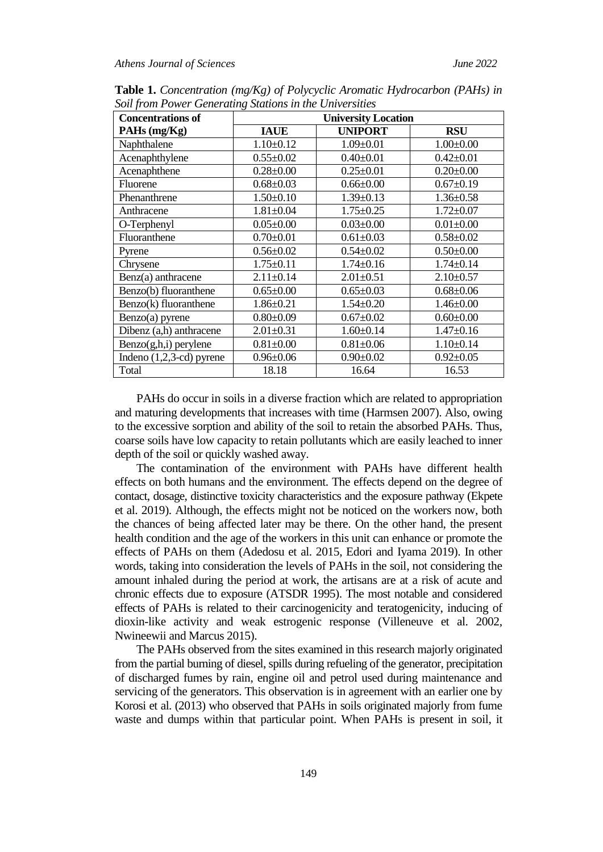| <b>Concentrations of</b> | <b>University Location</b> |                 |                 |
|--------------------------|----------------------------|-----------------|-----------------|
| PAHs (mg/Kg)             | <b>IAUE</b>                | <b>UNIPORT</b>  | <b>RSU</b>      |
| Naphthalene              | $1.10 \pm 0.12$            | $1.09 \pm 0.01$ | $1.00 \pm 0.00$ |
| Acenaphthylene           | $0.55 \pm 0.02$            | $0.40 \pm 0.01$ | $0.42 \pm 0.01$ |
| Acenaphthene             | $0.28 + 0.00$              | $0.25 \pm 0.01$ | $0.20 \pm 0.00$ |
| Fluorene                 | $0.68 \pm 0.03$            | $0.66 \pm 0.00$ | $0.67 \pm 0.19$ |
| Phenanthrene             | $1.50 \pm 0.10$            | $1.39 \pm 0.13$ | $1.36 \pm 0.58$ |
| Anthracene               | $1.81 + 0.04$              | $1.75 \pm 0.25$ | $1.72 \pm 0.07$ |
| O-Terphenyl              | $0.05 \pm 0.00$            | $0.03 \pm 0.00$ | $0.01 \pm 0.00$ |
| Fluoranthene             | $0.70 \pm 0.01$            | $0.61 \pm 0.03$ | $0.58 \pm 0.02$ |
| Pyrene                   | $0.56 \pm 0.02$            | $0.54 \pm 0.02$ | $0.50 \pm 0.00$ |
| Chrysene                 | $1.75 \pm 0.11$            | $1.74 \pm 0.16$ | $1.74 \pm 0.14$ |
| Benz(a) anthracene       | $2.11 \pm 0.14$            | $2.01 \pm 0.51$ | $2.10\pm0.57$   |
| Benzo(b) fluoranthene    | $0.65 \pm 0.00$            | $0.65 \pm 0.03$ | $0.68 \pm 0.06$ |
| Benzo(k) fluoranthene    | $1.86 \pm 0.21$            | $1.54 \pm 0.20$ | $1.46 \pm 0.00$ |
| $Benzo(a)$ pyrene        | $0.80 \pm 0.09$            | $0.67 \pm 0.02$ | $0.60 \pm 0.00$ |
| Dibenz (a,h) anthracene  | $2.01 \pm 0.31$            | $1.60 \pm 0.14$ | $1.47 \pm 0.16$ |
| $Benzo(g,h,i)$ perylene  | $0.81 + 0.00$              | $0.81 + 0.06$   | $1.10 \pm 0.14$ |
| Indeno (1,2,3-cd) pyrene | $0.96 \pm 0.06$            | $0.90 \pm 0.02$ | $0.92 \pm 0.05$ |
| Total                    | 18.18                      | 16.64           | 16.53           |

**Table 1.** *Concentration (mg/Kg) of Polycyclic Aromatic Hydrocarbon (PAHs) in Soil from Power Generating Stations in the Universities*

PAHs do occur in soils in a diverse fraction which are related to appropriation and maturing developments that increases with time (Harmsen 2007). Also, owing to the excessive sorption and ability of the soil to retain the absorbed PAHs. Thus, coarse soils have low capacity to retain pollutants which are easily leached to inner depth of the soil or quickly washed away.

The contamination of the environment with PAHs have different health effects on both humans and the environment. The effects depend on the degree of contact, dosage, distinctive toxicity characteristics and the exposure pathway (Ekpete et al. 2019). Although, the effects might not be noticed on the workers now, both the chances of being affected later may be there. On the other hand, the present health condition and the age of the workers in this unit can enhance or promote the effects of PAHs on them (Adedosu et al. 2015, Edori and Iyama 2019). In other words, taking into consideration the levels of PAHs in the soil, not considering the amount inhaled during the period at work, the artisans are at a risk of acute and chronic effects due to exposure (ATSDR 1995). The most notable and considered effects of PAHs is related to their carcinogenicity and teratogenicity, inducing of dioxin-like activity and weak estrogenic response (Villeneuve et al. 2002, Nwineewii and Marcus 2015).

The PAHs observed from the sites examined in this research majorly originated from the partial burning of diesel, spills during refueling of the generator, precipitation of discharged fumes by rain, engine oil and petrol used during maintenance and servicing of the generators. This observation is in agreement with an earlier one by Korosi et al. (2013) who observed that PAHs in soils originated majorly from fume waste and dumps within that particular point. When PAHs is present in soil, it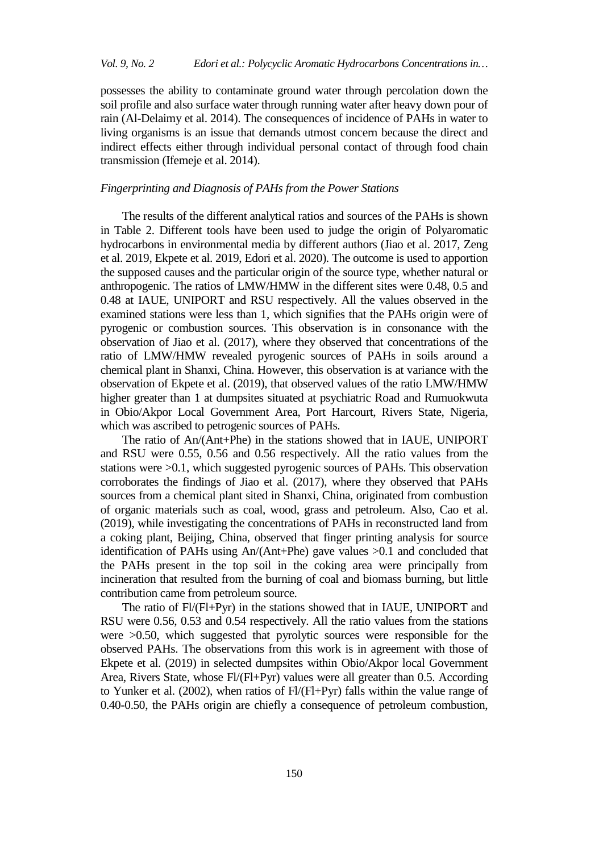possesses the ability to contaminate ground water through percolation down the soil profile and also surface water through running water after heavy down pour of rain (Al-Delaimy et al. 2014). The consequences of incidence of PAHs in water to living organisms is an issue that demands utmost concern because the direct and indirect effects either through individual personal contact of through food chain transmission (Ifemeje et al. 2014).

# *Fingerprinting and Diagnosis of PAHs from the Power Stations*

The results of the different analytical ratios and sources of the PAHs is shown in Table 2. Different tools have been used to judge the origin of Polyaromatic hydrocarbons in environmental media by different authors (Jiao et al. 2017, Zeng et al. 2019, Ekpete et al. 2019, Edori et al. 2020). The outcome is used to apportion the supposed causes and the particular origin of the source type, whether natural or anthropogenic. The ratios of LMW/HMW in the different sites were 0.48, 0.5 and 0.48 at IAUE, UNIPORT and RSU respectively. All the values observed in the examined stations were less than 1, which signifies that the PAHs origin were of pyrogenic or combustion sources. This observation is in consonance with the observation of Jiao et al. (2017), where they observed that concentrations of the ratio of LMW/HMW revealed pyrogenic sources of PAHs in soils around a chemical plant in Shanxi, China. However, this observation is at variance with the observation of Ekpete et al. (2019), that observed values of the ratio LMW/HMW higher greater than 1 at dumpsites situated at psychiatric Road and Rumuokwuta in Obio/Akpor Local Government Area, Port Harcourt, Rivers State, Nigeria, which was ascribed to petrogenic sources of PAHs.

The ratio of An/(Ant+Phe) in the stations showed that in IAUE, UNIPORT and RSU were 0.55, 0.56 and 0.56 respectively. All the ratio values from the stations were >0.1, which suggested pyrogenic sources of PAHs. This observation corroborates the findings of Jiao et al. (2017), where they observed that PAHs sources from a chemical plant sited in Shanxi, China, originated from combustion of organic materials such as coal, wood, grass and petroleum. Also, Cao et al. (2019), while investigating the concentrations of PAHs in reconstructed land from a coking plant, Beijing, China, observed that finger printing analysis for source identification of PAHs using An/(Ant+Phe) gave values >0.1 and concluded that the PAHs present in the top soil in the coking area were principally from incineration that resulted from the burning of coal and biomass burning, but little contribution came from petroleum source.

The ratio of Fl/(Fl+Pyr) in the stations showed that in IAUE, UNIPORT and RSU were 0.56, 0.53 and 0.54 respectively. All the ratio values from the stations were >0.50, which suggested that pyrolytic sources were responsible for the observed PAHs. The observations from this work is in agreement with those of Ekpete et al. (2019) in selected dumpsites within Obio/Akpor local Government Area, Rivers State, whose Fl/(Fl+Pyr) values were all greater than 0.5. According to Yunker et al. (2002), when ratios of Fl/(Fl+Pyr) falls within the value range of 0.40-0.50, the PAHs origin are chiefly a consequence of petroleum combustion,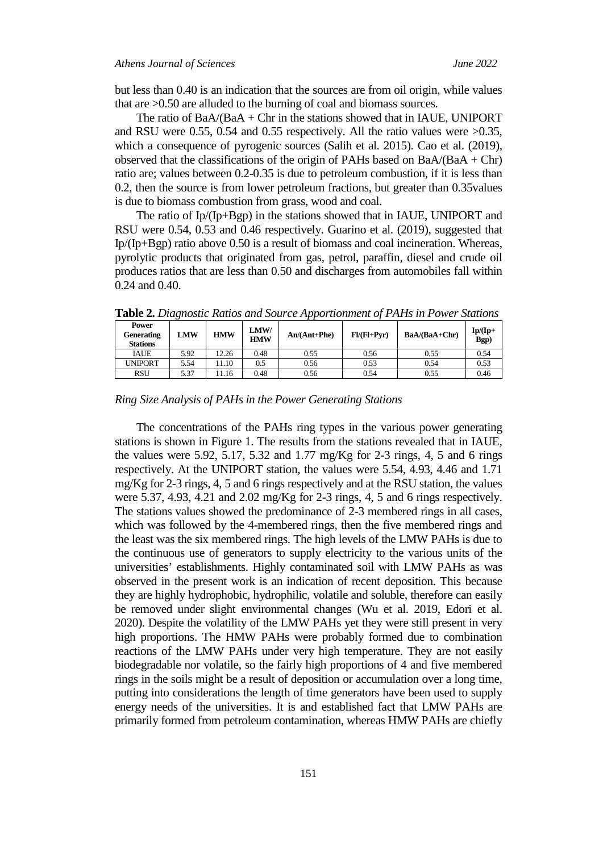but less than 0.40 is an indication that the sources are from oil origin, while values that are >0.50 are alluded to the burning of coal and biomass sources.

The ratio of  $BaA/(BaA + Chr)$  in the stations showed that in IAUE, UNIPORT and RSU were 0.55, 0.54 and 0.55 respectively. All the ratio values were >0.35, which a consequence of pyrogenic sources (Salih et al. 2015). Cao et al. (2019), observed that the classifications of the origin of PAHs based on  $BaA/(BaA + Chr)$ ratio are; values between 0.2-0.35 is due to petroleum combustion, if it is less than 0.2, then the source is from lower petroleum fractions, but greater than 0.35values is due to biomass combustion from grass, wood and coal.

The ratio of Ip/(Ip+Bgp) in the stations showed that in IAUE, UNIPORT and RSU were 0.54, 0.53 and 0.46 respectively. Guarino et al. (2019), suggested that Ip/(Ip+Bgp) ratio above 0.50 is a result of biomass and coal incineration. Whereas, pyrolytic products that originated from gas, petrol, paraffin, diesel and crude oil produces ratios that are less than 0.50 and discharges from automobiles fall within 0.24 and 0.40.

**Power Generating Stations LMW HMW HMW**  $\mathbf{An}/(\mathbf{Ant+Phe})$  **F** $\mathbf{I}(\mathbf{Fl+Pyr})$  **BaA/(BaA+Chr) Ip/(Ip+ Bgp)** IAUE | 5.92 | 12.26 | 0.48 | 0.55 | 0.56 | 0.55 | 0.54 UNIPORT 5.54 11.10 0.5 0.56 0.53 0.53 0.54 0.53 RSU | 5.37 | 11.16 | 0.48 | 0.56 | 0.54 | 0.55 | 0.46

**Table 2.** *Diagnostic Ratios and Source Apportionment of PAHs in Power Stations* 

*Ring Size Analysis of PAHs in the Power Generating Stations*

The concentrations of the PAHs ring types in the various power generating stations is shown in Figure 1. The results from the stations revealed that in IAUE, the values were 5.92, 5.17, 5.32 and 1.77 mg/Kg for 2-3 rings, 4, 5 and 6 rings respectively. At the UNIPORT station, the values were 5.54, 4.93, 4.46 and 1.71 mg/Kg for 2-3 rings, 4, 5 and 6 rings respectively and at the RSU station, the values were 5.37, 4.93, 4.21 and 2.02 mg/Kg for 2-3 rings, 4, 5 and 6 rings respectively. The stations values showed the predominance of 2-3 membered rings in all cases, which was followed by the 4-membered rings, then the five membered rings and the least was the six membered rings. The high levels of the LMW PAHs is due to the continuous use of generators to supply electricity to the various units of the universities' establishments. Highly contaminated soil with LMW PAHs as was observed in the present work is an indication of recent deposition. This because they are highly hydrophobic, hydrophilic, volatile and soluble, therefore can easily be removed under slight environmental changes (Wu et al. 2019, Edori et al. 2020). Despite the volatility of the LMW PAHs yet they were still present in very high proportions. The HMW PAHs were probably formed due to combination reactions of the LMW PAHs under very high temperature. They are not easily biodegradable nor volatile, so the fairly high proportions of 4 and five membered rings in the soils might be a result of deposition or accumulation over a long time, putting into considerations the length of time generators have been used to supply energy needs of the universities. It is and established fact that LMW PAHs are primarily formed from petroleum contamination, whereas HMW PAHs are chiefly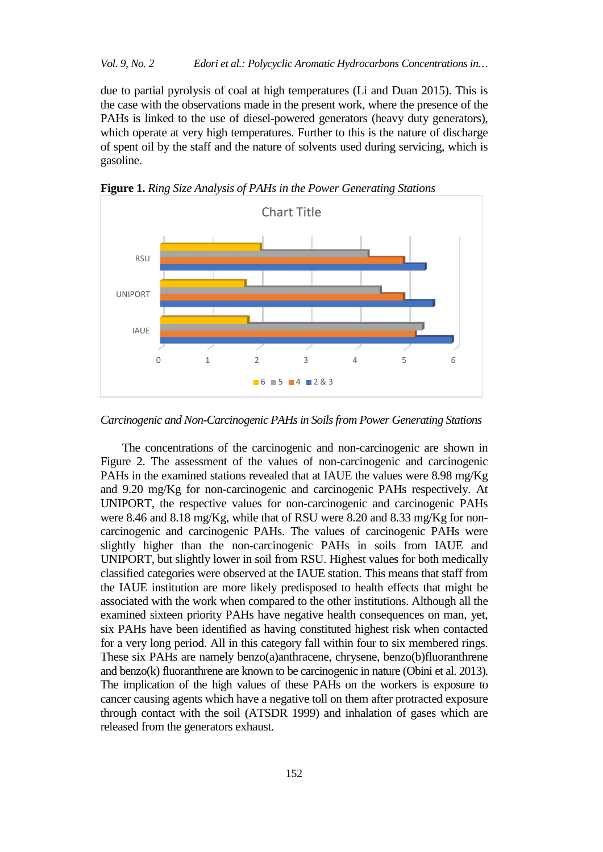due to partial pyrolysis of coal at high temperatures (Li and Duan 2015). This is the case with the observations made in the present work, where the presence of the PAHs is linked to the use of diesel-powered generators (heavy duty generators), which operate at very high temperatures. Further to this is the nature of discharge of spent oil by the staff and the nature of solvents used during servicing, which is gasoline.



**Figure 1.** *Ring Size Analysis of PAHs in the Power Generating Stations*

*Carcinogenic and Non-Carcinogenic PAHs in Soils from Power Generating Stations* 

The concentrations of the carcinogenic and non*-*carcinogenic are shown in Figure 2. The assessment of the values of non-carcinogenic and carcinogenic PAHs in the examined stations revealed that at IAUE the values were 8.98 mg/Kg and 9.20 mg/Kg for non-carcinogenic and carcinogenic PAHs respectively. At UNIPORT, the respective values for non-carcinogenic and carcinogenic PAHs were 8.46 and 8.18 mg/Kg, while that of RSU were 8.20 and 8.33 mg/Kg for noncarcinogenic and carcinogenic PAHs. The values of carcinogenic PAHs were slightly higher than the non-carcinogenic PAHs in soils from IAUE and UNIPORT, but slightly lower in soil from RSU. Highest values for both medically classified categories were observed at the IAUE station. This means that staff from the IAUE institution are more likely predisposed to health effects that might be associated with the work when compared to the other institutions. Although all the examined sixteen priority PAHs have negative health consequences on man, yet, six PAHs have been identified as having constituted highest risk when contacted for a very long period. All in this category fall within four to six membered rings. These six PAHs are namely benzo(a)anthracene, chrysene, benzo(b)fluoranthrene and benzo(k) fluoranthrene are known to be carcinogenic in nature (Obini et al. 2013). The implication of the high values of these PAHs on the workers is exposure to cancer causing agents which have a negative toll on them after protracted exposure through contact with the soil (ATSDR 1999) and inhalation of gases which are released from the generators exhaust.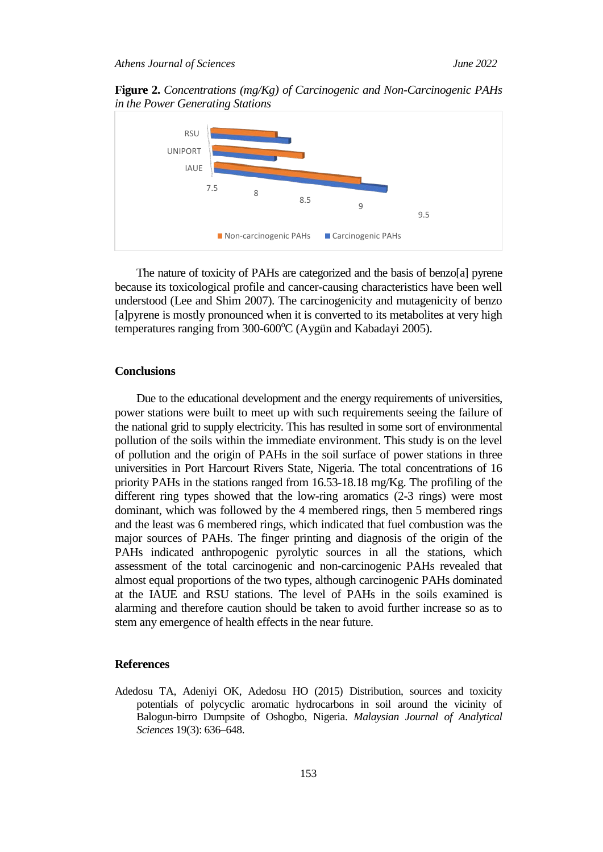**Figure 2.** *Concentrations (mg/Kg) of Carcinogenic and Non-Carcinogenic PAHs in the Power Generating Stations*



The nature of toxicity of PAHs are categorized and the basis of benzo[a] pyrene because its toxicological profile and cancer-causing characteristics have been well understood (Lee and Shim 2007). The carcinogenicity and mutagenicity of benzo [a]pyrene is mostly pronounced when it is converted to its metabolites at very high temperatures ranging from 300-600°C (Aygün and Kabadayi 2005).

# **Conclusions**

Due to the educational development and the energy requirements of universities, power stations were built to meet up with such requirements seeing the failure of the national grid to supply electricity. This has resulted in some sort of environmental pollution of the soils within the immediate environment. This study is on the level of pollution and the origin of PAHs in the soil surface of power stations in three universities in Port Harcourt Rivers State, Nigeria. The total concentrations of 16 priority PAHs in the stations ranged from  $16.53-18.18$  mg/Kg. The profiling of the different ring types showed that the low-ring aromatics (2-3 rings) were most dominant, which was followed by the 4 membered rings, then 5 membered rings and the least was 6 membered rings, which indicated that fuel combustion was the major sources of PAHs. The finger printing and diagnosis of the origin of the PAHs indicated anthropogenic pyrolytic sources in all the stations, which assessment of the total carcinogenic and non-carcinogenic PAHs revealed that almost equal proportions of the two types, although carcinogenic PAHs dominated at the IAUE and RSU stations. The level of PAHs in the soils examined is alarming and therefore caution should be taken to avoid further increase so as to stem any emergence of health effects in the near future.

#### **References**

Adedosu TA, Adeniyi OK, Adedosu HO (2015) Distribution, sources and toxicity potentials of polycyclic aromatic hydrocarbons in soil around the vicinity of Balogun-birro Dumpsite of Oshogbo, Nigeria. *Malaysian Journal of Analytical Sciences* 19(3): 636–648.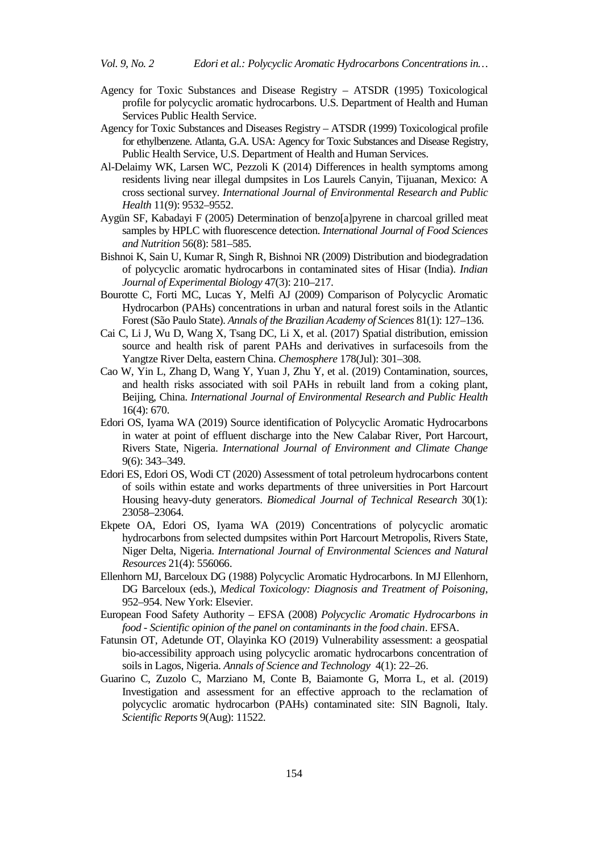- Agency for Toxic Substances and Disease Registry ATSDR (1995) Toxicological profile for polycyclic aromatic hydrocarbons. U.S. Department of Health and Human Services Public Health Service.
- Agency for Toxic Substances and Diseases Registry ATSDR (1999) Toxicological profile for ethylbenzene. Atlanta, G.A. USA: Agency for Toxic Substances and Disease Registry, Public Health Service, U.S. Department of Health and Human Services.
- Al-Delaimy WK, Larsen WC, Pezzoli K (2014) Differences in health symptoms among residents living near illegal dumpsites in Los Laurels Canyin, Tijuanan, Mexico: A cross sectional survey. *International Journal of Environmental Research and Public Health* 11(9): 9532–9552.
- Aygün SF, Kabadayi F (2005) Determination of benzo[a]pyrene in charcoal grilled meat samples by HPLC with fluorescence detection. *International Journal of Food Sciences and Nutrition* 56(8): 581–585.
- Bishnoi K, Sain U, Kumar R, Singh R, Bishnoi NR (2009) Distribution and biodegradation of polycyclic aromatic hydrocarbons in contaminated sites of Hisar (India). *Indian Journal of Experimental Biology* 47(3): 210–217.
- Bourotte C, Forti MC, Lucas Y, Melfi AJ (2009) Comparison of Polycyclic Aromatic Hydrocarbon (PAHs) concentrations in urban and natural forest soils in the Atlantic Forest (São Paulo State). *Annals of the Brazilian Academy of Sciences* 81(1): 127–136.
- Cai C, Li J, Wu D, Wang X, Tsang DC, Li X, et al. (2017) Spatial distribution, emission source and health risk of parent PAHs and derivatives in surfacesoils from the Yangtze River Delta, eastern China. *Chemosphere* 178(Jul): 301–308.
- Cao W, Yin L, Zhang D, Wang Y, Yuan J, Zhu Y, et al. (2019) Contamination, sources, and health risks associated with soil PAHs in rebuilt land from a coking plant, Beijing, China. *International Journal of Environmental Research and Public Health* 16(4): 670.
- Edori OS, Iyama WA (2019) Source identification of Polycyclic Aromatic Hydrocarbons in water at point of effluent discharge into the New Calabar River, Port Harcourt, Rivers State, Nigeria. *International Journal of Environment and Climate Change* 9(6): 343–349.
- Edori ES, Edori OS, Wodi CT (2020) Assessment of total petroleum hydrocarbons content of soils within estate and works departments of three universities in Port Harcourt Housing heavy-duty generators. *Biomedical Journal of Technical Research* 30(1): 23058–23064.
- Ekpete OA, Edori OS, Iyama WA (2019) Concentrations of polycyclic aromatic hydrocarbons from selected dumpsites within Port Harcourt Metropolis, Rivers State, Niger Delta, Nigeria. *International Journal of Environmental Sciences and Natural Resources* 21(4): 556066.
- Ellenhorn MJ, Barceloux DG (1988) Polycyclic Aromatic Hydrocarbons. In MJ Ellenhorn, DG Barceloux (eds.), *Medical Toxicology: Diagnosis and Treatment of Poisoning*, 952–954. New York: Elsevier.
- European Food Safety Authority EFSA (2008) *Polycyclic Aromatic Hydrocarbons in food - Scientific opinion of the panel on contaminants in the food chain*. EFSA.
- Fatunsin OT, Adetunde OT, Olayinka KO (2019) Vulnerability assessment: a geospatial bio-accessibility approach using polycyclic aromatic hydrocarbons concentration of soils in Lagos, Nigeria. *Annals of Science and Technology* 4(1): 22–26.
- Guarino C, Zuzolo C, Marziano M, Conte B, Baiamonte G, Morra L, et al. (2019) Investigation and assessment for an effective approach to the reclamation of polycyclic aromatic hydrocarbon (PAHs) contaminated site: SIN Bagnoli, Italy. *Scientific Reports* 9(Aug): 11522.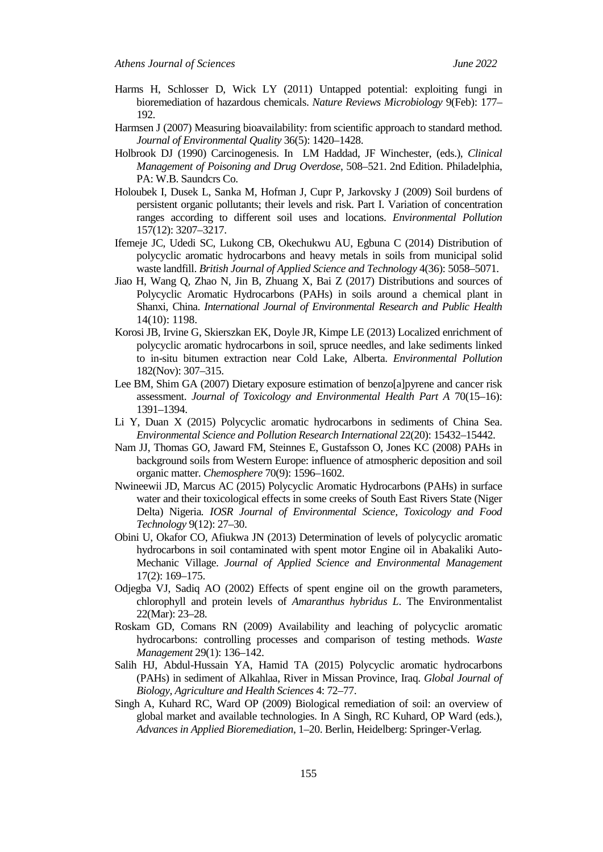- Harms H, Schlosser D, Wick LY (2011) Untapped potential: exploiting fungi in bioremediation of hazardous chemicals. *Nature Reviews Microbiology* 9(Feb): 177– 192.
- Harmsen J (2007) Measuring bioavailability: from scientific approach to standard method. *Journal of Environmental Quality* 36(5): 1420–1428.
- Holbrook DJ (1990) Carcinogenesis. In LM Haddad, JF Winchester, (eds.), *Clinical Management of Poisoning and Drug Overdose*, 508–521. 2nd Edition. Philadelphia, PA: W.B. Saundcrs Co.
- Holoubek I, Dusek L, Sanka M, Hofman J, Cupr P, Jarkovsky J (2009) Soil burdens of persistent organic pollutants; their levels and risk. Part I. Variation of concentration ranges according to different soil uses and locations. *Environmental Pollution* 157(12): 3207–3217.
- Ifemeje JC, Udedi SC, Lukong CB, Okechukwu AU, Egbuna C (2014) Distribution of polycyclic aromatic hydrocarbons and heavy metals in soils from municipal solid waste landfill. *British Journal of Applied Science and Technology* 4(36): 5058–5071.
- Jiao H, Wang Q, Zhao N, Jin B, Zhuang X, Bai Z (2017) Distributions and sources of Polycyclic Aromatic Hydrocarbons (PAHs) in soils around a chemical plant in Shanxi, China. *International Journal of Environmental Research and Public Health* 14(10): 1198.
- Korosi JB, Irvine G, Skierszkan EK, Doyle JR, Kimpe LE (2013) Localized enrichment of polycyclic aromatic hydrocarbons in soil, spruce needles, and lake sediments linked to in-situ bitumen extraction near Cold Lake, Alberta. *Environmental Pollution* 182(Nov): 307–315.
- Lee BM, Shim GA (2007) Dietary exposure estimation of benzo[a]pyrene and cancer risk assessment. *Journal of Toxicology and Environmental Health Part A* 70(15–16): 1391–1394.
- Li Y, Duan X (2015) Polycyclic aromatic hydrocarbons in sediments of China Sea. *Environmental Science and Pollution Research International* 22(20): 15432–15442.
- Nam JJ, Thomas GO, Jaward FM, Steinnes E, Gustafsson O, Jones KC (2008) PAHs in background soils from Western Europe: influence of atmospheric deposition and soil organic matter. *Chemosphere* 70(9): 1596–1602.
- Nwineewii JD, Marcus AC (2015) Polycyclic Aromatic Hydrocarbons (PAHs) in surface water and their toxicological effects in some creeks of South East Rivers State (Niger Delta) Nigeria*. IOSR Journal of Environmental Science, Toxicology and Food Technology* 9(12): 27–30.
- Obini U, Okafor CO, Afiukwa JN (2013) Determination of levels of polycyclic aromatic hydrocarbons in soil contaminated with spent motor Engine oil in Abakaliki Auto-Mechanic Village. *Journal of Applied Science and Environmental Management* 17(2): 169–175.
- Odjegba VJ, Sadiq AO (2002) Effects of spent engine oil on the growth parameters, chlorophyll and protein levels of *Amaranthus hybridus L*. The Environmentalist 22(Mar): 23–28.
- Roskam GD, Comans RN (2009) Availability and leaching of polycyclic aromatic hydrocarbons: controlling processes and comparison of testing methods. *Waste Management* 29(1): 136–142.
- Salih HJ, Abdul-Hussain YA, Hamid TA (2015) Polycyclic aromatic hydrocarbons (PAHs) in sediment of Alkahlaa, River in Missan Province, Iraq. *Global Journal of Biology, Agriculture and Health Sciences* 4: 72–77.
- Singh A, Kuhard RC, Ward OP (2009) Biological remediation of soil: an overview of global market and available technologies. In A Singh, RC Kuhard, OP Ward (eds.), *Advances in Applied Bioremediation*, 1–20. Berlin, Heidelberg: Springer-Verlag.